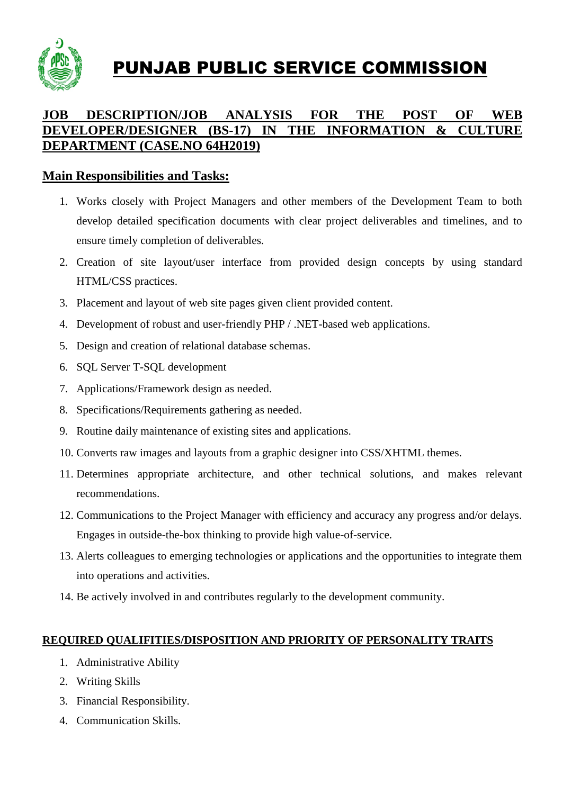

PUNJAB PUBLIC SERVICE COMMISSION

## **JOB DESCRIPTION/JOB ANALYSIS FOR THE POST OF WEB DEVELOPER/DESIGNER (BS-17) IN THE INFORMATION & CULTURE DEPARTMENT (CASE.NO 64H2019)**

## **Main Responsibilities and Tasks:**

- 1. Works closely with Project Managers and other members of the Development Team to both develop detailed specification documents with clear project deliverables and timelines, and to ensure timely completion of deliverables.
- 2. Creation of site layout/user interface from provided design concepts by using standard HTML/CSS practices.
- 3. Placement and layout of web site pages given client provided content.
- 4. Development of robust and user-friendly PHP / .NET-based web applications.
- 5. Design and creation of relational database schemas.
- 6. SQL Server T-SQL development
- 7. Applications/Framework design as needed.
- 8. Specifications/Requirements gathering as needed.
- 9. Routine daily maintenance of existing sites and applications.
- 10. Converts raw images and layouts from a graphic designer into CSS/XHTML themes.
- 11. Determines appropriate architecture, and other technical solutions, and makes relevant recommendations.
- 12. Communications to the Project Manager with efficiency and accuracy any progress and/or delays. Engages in outside-the-box thinking to provide high value-of-service.
- 13. Alerts colleagues to emerging technologies or applications and the opportunities to integrate them into operations and activities.
- 14. Be actively involved in and contributes regularly to the development community.

## **REQUIRED QUALIFITIES/DISPOSITION AND PRIORITY OF PERSONALITY TRAITS**

- 1. Administrative Ability
- 2. Writing Skills
- 3. Financial Responsibility.
- 4. Communication Skills.